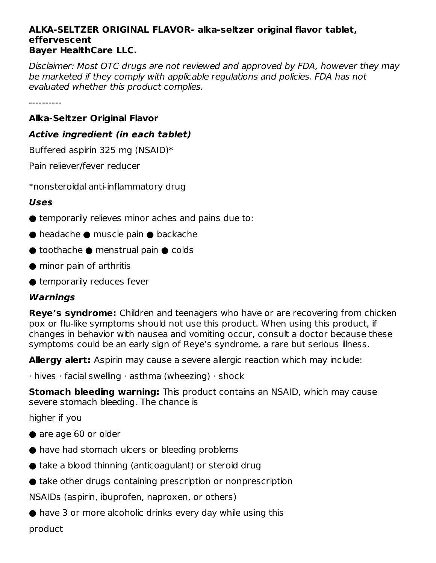#### **ALKA-SELTZER ORIGINAL FLAVOR- alka-seltzer original flavor tablet, effervescent Bayer HealthCare LLC.**

Disclaimer: Most OTC drugs are not reviewed and approved by FDA, however they may be marketed if they comply with applicable regulations and policies. FDA has not evaluated whether this product complies.

----------

### **Alka-Seltzer Original Flavor**

#### **Active ingredient (in each tablet)**

Buffered aspirin 325 mg (NSAID)\*

Pain reliever/fever reducer

\*nonsteroidal anti-inflammatory drug

#### **Uses**

- $\bullet$  temporarily relieves minor aches and pains due to:
- headache muscle pain backache
- $\bullet$  toothache  $\bullet$  menstrual pain  $\bullet$  colds
- minor pain of arthritis
- temporarily reduces fever

### **Warnings**

**Reye's syndrome:** Children and teenagers who have or are recovering from chicken pox or flu-like symptoms should not use this product. When using this product, if changes in behavior with nausea and vomiting occur, consult a doctor because these symptoms could be an early sign of Reye's syndrome, a rare but serious illness.

**Allergy alert:** Aspirin may cause a severe allergic reaction which may include:

 $\cdot$  hives  $\cdot$  facial swelling  $\cdot$  asthma (wheezing)  $\cdot$  shock

**Stomach bleeding warning:** This product contains an NSAID, which may cause severe stomach bleeding. The chance is

higher if you

- are age 60 or older
- have had stomach ulcers or bleeding problems
- $\bullet$  take a blood thinning (anticoagulant) or steroid drug
- take other drugs containing prescription or nonprescription

NSAIDs (aspirin, ibuprofen, naproxen, or others)

 $\bullet$  have 3 or more alcoholic drinks every day while using this

product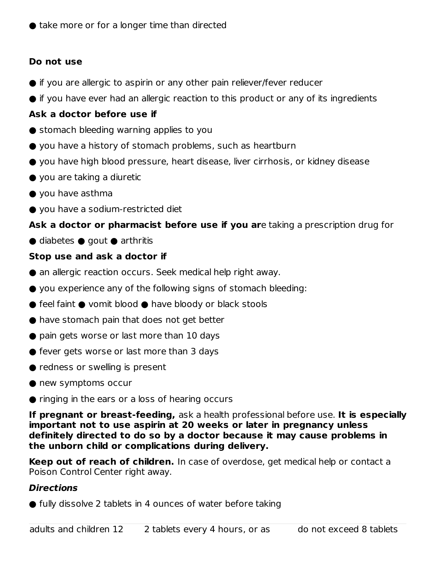## **Do not use**

- if you are allergic to aspirin or any other pain reliever/fever reducer
- if you have ever had an allergic reaction to this product or any of its ingredients

## **Ask a doctor before use if**

- stomach bleeding warning applies to you
- you have a history of stomach problems, such as heartburn
- you have high blood pressure, heart disease, liver cirrhosis, or kidney disease
- $\bullet$  you are taking a diuretic
- you have asthma
- you have a sodium-restricted diet

## **Ask a doctor or pharmacist before use if you ar**e taking a prescription drug for

 $\bullet$  diabetes  $\bullet$  gout  $\bullet$  arthritis

## **Stop use and ask a doctor if**

- an allergic reaction occurs. Seek medical help right away.
- you experience any of the following signs of stomach bleeding:
- $\bullet$  feel faint  $\bullet$  vomit blood  $\bullet$  have bloody or black stools
- have stomach pain that does not get better
- pain gets worse or last more than 10 days
- fever gets worse or last more than 3 days
- redness or swelling is present
- new symptoms occur
- $\bullet$  ringing in the ears or a loss of hearing occurs

**If pregnant or breast-feeding,** ask a health professional before use. **It is especially important not to use aspirin at 20 weeks or later in pregnancy unless definitely directed to do so by a doctor because it may cause problems in the unborn child or complications during delivery.**

**Keep out of reach of children.** In case of overdose, get medical help or contact a Poison Control Center right away.

## **Directions**

● fully dissolve 2 tablets in 4 ounces of water before taking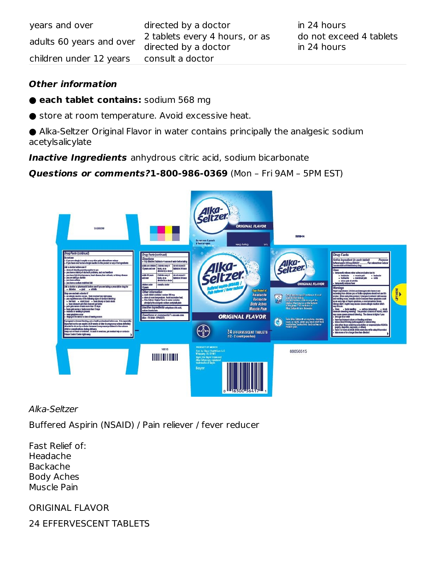| years and over           | directed by a doctor                                   | in 24 hours                            |
|--------------------------|--------------------------------------------------------|----------------------------------------|
| adults 60 years and over | 2 tablets every 4 hours, or as<br>directed by a doctor | do not exceed 4 tablets<br>in 24 hours |
| children under 12 years  | consult a doctor                                       |                                        |

#### **Other information**

- **each tablet contains:** sodium 568 mg
- store at room temperature. Avoid excessive heat.

● Alka-Seltzer Original Flavor in water contains principally the analgesic sodium acetylsalicylate

**Inactive Ingredients** anhydrous citric acid, sodium bicarbonate

#### **Questions or comments?1-800-986-0369** (Mon – Fri 9AM – 5PM EST)



Alka-Seltzer

Buffered Aspirin (NSAID) / Pain reliever / fever reducer

Fast Relief of: Headache Backache Body Aches Muscle Pain

ORIGINAL FLAVOR

24 EFFERVESCENT TABLETS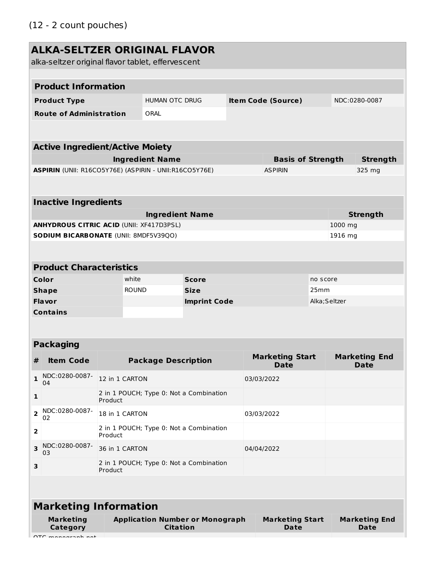# **ALKA-SELTZER ORIGINAL FLAVOR**

alka-seltzer original flavor tablet, effervescent

|              | <b>Product Information</b>                                                                       |                                                    |                                       |                                             |                                       |                                            |                                     |                 |                 |  |
|--------------|--------------------------------------------------------------------------------------------------|----------------------------------------------------|---------------------------------------|---------------------------------------------|---------------------------------------|--------------------------------------------|-------------------------------------|-----------------|-----------------|--|
|              | <b>Product Type</b>                                                                              |                                                    |                                       | HUMAN OTC DRUG<br><b>Item Code (Source)</b> |                                       |                                            | NDC:0280-0087                       |                 |                 |  |
|              | <b>Route of Administration</b>                                                                   |                                                    | ORAL                                  |                                             |                                       |                                            |                                     |                 |                 |  |
|              |                                                                                                  |                                                    |                                       |                                             |                                       |                                            |                                     |                 |                 |  |
|              |                                                                                                  |                                                    |                                       |                                             |                                       |                                            |                                     |                 |                 |  |
|              | <b>Active Ingredient/Active Moiety</b>                                                           |                                                    |                                       |                                             |                                       |                                            |                                     |                 |                 |  |
|              | ASPIRIN (UNII: R16CO5Y76E) (ASPIRIN - UNII:R16CO5Y76E)                                           |                                                    | <b>Ingredient Name</b>                |                                             |                                       | <b>Basis of Strength</b><br><b>ASPIRIN</b> |                                     |                 | <b>Strength</b> |  |
|              |                                                                                                  |                                                    |                                       |                                             |                                       |                                            |                                     |                 | 325 mg          |  |
|              |                                                                                                  |                                                    |                                       |                                             |                                       |                                            |                                     |                 |                 |  |
|              | <b>Inactive Ingredients</b>                                                                      |                                                    |                                       |                                             |                                       |                                            |                                     |                 |                 |  |
|              |                                                                                                  |                                                    | <b>Ingredient Name</b>                |                                             |                                       |                                            |                                     | <b>Strength</b> |                 |  |
|              | <b>ANHYDROUS CITRIC ACID (UNII: XF417D3PSL)</b>                                                  |                                                    |                                       |                                             |                                       |                                            |                                     | 1000 mg         |                 |  |
|              | SODIUM BICARBONATE (UNII: 8MDF5V39QO)                                                            |                                                    |                                       |                                             |                                       |                                            |                                     | 1916 mg         |                 |  |
|              |                                                                                                  |                                                    |                                       |                                             |                                       |                                            |                                     |                 |                 |  |
|              | <b>Product Characteristics</b>                                                                   |                                                    |                                       |                                             |                                       |                                            |                                     |                 |                 |  |
|              | Color                                                                                            | white                                              |                                       | <b>Score</b>                                |                                       |                                            | no score                            |                 |                 |  |
|              | <b>Shape</b>                                                                                     | <b>ROUND</b>                                       |                                       | <b>Size</b>                                 |                                       |                                            | 25mm                                |                 |                 |  |
|              | <b>Flavor</b>                                                                                    |                                                    |                                       | <b>Imprint Code</b>                         |                                       |                                            | Alka; Seltzer                       |                 |                 |  |
|              | <b>Contains</b>                                                                                  |                                                    |                                       |                                             |                                       |                                            |                                     |                 |                 |  |
|              |                                                                                                  |                                                    |                                       |                                             |                                       |                                            |                                     |                 |                 |  |
|              | <b>Packaging</b>                                                                                 |                                                    |                                       |                                             |                                       |                                            |                                     |                 |                 |  |
|              |                                                                                                  |                                                    |                                       |                                             |                                       |                                            |                                     |                 |                 |  |
| #            | <b>Item Code</b>                                                                                 | <b>Package Description</b>                         |                                       |                                             | <b>Marketing Start</b><br><b>Date</b> |                                            | <b>Marketing End</b><br><b>Date</b> |                 |                 |  |
| $\mathbf{1}$ | NDC:0280-0087-<br>04                                                                             | 12 in 1 CARTON                                     |                                       |                                             |                                       | 03/03/2022                                 |                                     |                 |                 |  |
| 1            |                                                                                                  | 2 in 1 POUCH; Type 0: Not a Combination            |                                       |                                             |                                       |                                            |                                     |                 |                 |  |
|              | NDC:0280-0087-                                                                                   | Product                                            |                                       |                                             |                                       |                                            |                                     |                 |                 |  |
| 2            | 02                                                                                               | 18 in 1 CARTON                                     |                                       |                                             | 03/03/2022                            |                                            |                                     |                 |                 |  |
| 2            |                                                                                                  | Product                                            |                                       | 2 in 1 POUCH; Type 0: Not a Combination     |                                       |                                            |                                     |                 |                 |  |
| 3            | NDC:0280-0087-<br>03                                                                             | 36 in 1 CARTON                                     |                                       |                                             | 04/04/2022                            |                                            |                                     |                 |                 |  |
| З            |                                                                                                  | 2 in 1 POUCH; Type 0: Not a Combination<br>Product |                                       |                                             |                                       |                                            |                                     |                 |                 |  |
|              |                                                                                                  |                                                    |                                       |                                             |                                       |                                            |                                     |                 |                 |  |
|              |                                                                                                  |                                                    |                                       |                                             |                                       |                                            |                                     |                 |                 |  |
|              | <b>Marketing Information</b>                                                                     |                                                    |                                       |                                             |                                       |                                            |                                     |                 |                 |  |
|              | <b>Marketing</b><br><b>Application Number or Monograph</b><br><b>Citation</b><br><b>Category</b> |                                                    | <b>Marketing Start</b><br><b>Date</b> |                                             |                                       | <b>Marketing End</b><br><b>Date</b>        |                                     |                 |                 |  |
|              | anaasaah nat                                                                                     |                                                    |                                       |                                             |                                       |                                            |                                     |                 |                 |  |